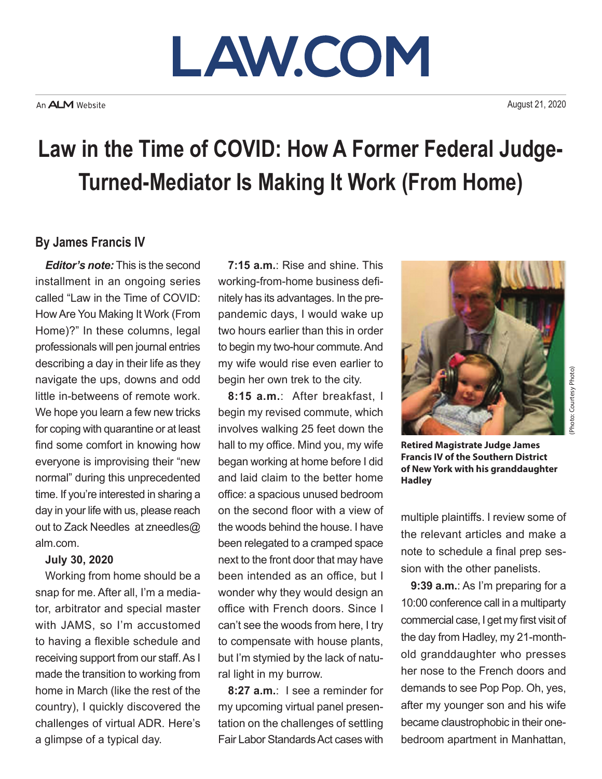# LAW.COM

August 21, 2020

### **Law in the Time of COVID: How A Former Federal Judge-Turned-Mediator Is Making It Work (From Home)**

#### **By James Francis IV**

*Editor's note:* This is the second installment in an ongoing series called "Law in the Time of COVID: How Are You Making It Work (From Home)?" In these columns, legal professionals will pen journal entries describing a day in their life as they navigate the ups, downs and odd little in-betweens of remote work. We hope you learn a few new tricks for coping with quarantine or at least find some comfort in knowing how everyone is improvising their "new normal" during this unprecedented time. If you're interested in sharing a day in your life with us, please reach out to Zack Needles at zneedles@ alm.com.

#### **July 30, 2020**

Working from home should be a snap for me. After all, I'm a mediator, arbitrator and special master with JAMS, so I'm accustomed to having a flexible schedule and receiving support from our staff. As I made the transition to working from home in March (like the rest of the country), I quickly discovered the challenges of virtual ADR. Here's a glimpse of a typical day.

**7:15 a.m.**: Rise and shine. This working-from-home business definitely has its advantages. In the prepandemic days, I would wake up two hours earlier than this in order to begin my two-hour commute. And my wife would rise even earlier to begin her own trek to the city.

**8:15 a.m.**: After breakfast, I begin my revised commute, which involves walking 25 feet down the hall to my office. Mind you, my wife began working at home before I did and laid claim to the better home office: a spacious unused bedroom on the second floor with a view of the woods behind the house. I have been relegated to a cramped space next to the front door that may have been intended as an office, but I wonder why they would design an office with French doors. Since I can't see the woods from here, I try to compensate with house plants, but I'm stymied by the lack of natural light in my burrow.

**8:27 a.m.**: I see a reminder for my upcoming virtual panel presentation on the challenges of settling Fair Labor Standards Act cases with



**Retired Magistrate Judge James Francis IV of the Southern District of New York with his granddaughter Hadley**

multiple plaintiffs. I review some of the relevant articles and make a note to schedule a final prep session with the other panelists.

**9:39 a.m.**: As I'm preparing for a 10:00 conference call in a multiparty commercial case, I get my first visit of the day from Hadley, my 21-monthold granddaughter who presses her nose to the French doors and demands to see Pop Pop. Oh, yes, after my younger son and his wife became claustrophobic in their onebedroom apartment in Manhattan,